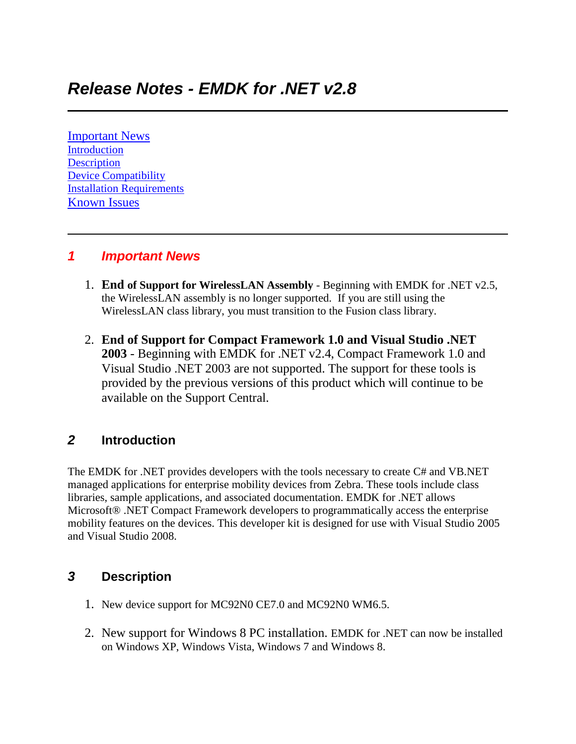[Important News](https://atgsupportcentral.motorolasolutions.com/content/emb/docs/ReleaseNotes/Release_Notes_EMDK_M_020802.htm#Important_News) [Introduction](https://atgsupportcentral.motorolasolutions.com/content/emb/docs/ReleaseNotes/Release_Notes_EMDK_M_020802.htm#Introduction) **[Description](https://atgsupportcentral.motorolasolutions.com/content/emb/docs/ReleaseNotes/Release_Notes_EMDK_M_020802.htm#Description)** [Device Compatibility](https://atgsupportcentral.motorolasolutions.com/content/emb/docs/ReleaseNotes/Release_Notes_EMDK_M_020802.htm#Compatibility_) [Installation Requirements](https://atgsupportcentral.motorolasolutions.com/content/emb/docs/ReleaseNotes/Release_Notes_EMDK_M_020802.htm#Installation_Requirements) [Known Issues](https://atgsupportcentral.motorolasolutions.com/content/emb/docs/ReleaseNotes/Release_Notes_EMDK_M_020802.htm#Known_Issues)

### *1 Important News*

- 1. **End of Support for WirelessLAN Assembly** Beginning with EMDK for .NET v2.5, the WirelessLAN assembly is no longer supported. If you are still using the WirelessLAN class library, you must transition to the Fusion class library.
- 2. **End of Support for Compact Framework 1.0 and Visual Studio .NET 2003** - Beginning with EMDK for .NET v2.4, Compact Framework 1.0 and Visual Studio .NET 2003 are not supported. The support for these tools is provided by the previous versions of this product which will continue to be available on the Support Central.

### *2* **Introduction**

The EMDK for .NET provides developers with the tools necessary to create C# and VB.NET managed applications for enterprise mobility devices from Zebra. These tools include class libraries, sample applications, and associated documentation. EMDK for .NET allows Microsoft® .NET Compact Framework developers to programmatically access the enterprise mobility features on the devices. This developer kit is designed for use with Visual Studio 2005 and Visual Studio 2008.

### *3* **Description**

- 1. New device support for MC92N0 CE7.0 and MC92N0 WM6.5.
- 2. New support for Windows 8 PC installation. EMDK for .NET can now be installed on Windows XP, Windows Vista, Windows 7 and Windows 8.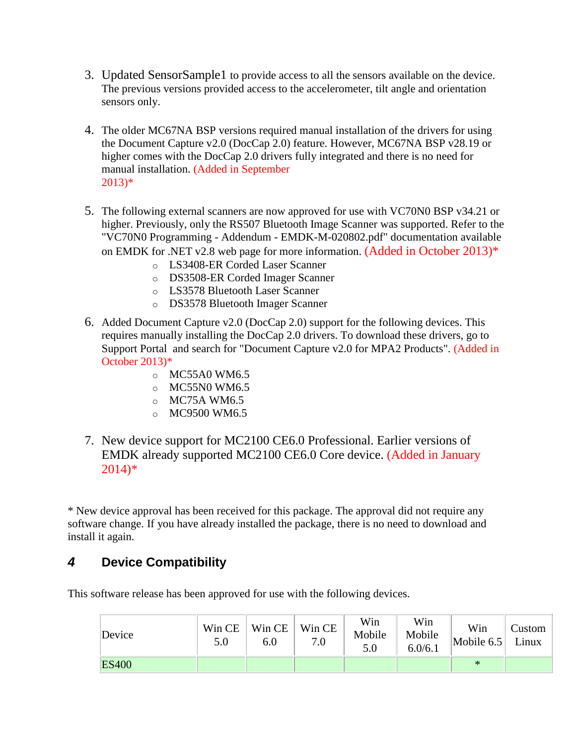- 3. Updated SensorSample1 to provide access to all the sensors available on the device. The previous versions provided access to the accelerometer, tilt angle and orientation sensors only.
- 4. The older MC67NA BSP versions required manual installation of the drivers for using the Document Capture v2.0 (DocCap 2.0) feature. However, MC67NA BSP v28.19 or higher comes with the DocCap 2.0 drivers fully integrated and there is no need for manual installation. (Added in September 2013)\*
- 5. The following external scanners are now approved for use with VC70N0 BSP v34.21 or higher. Previously, only the RS507 Bluetooth Image Scanner was supported. Refer to the "VC70N0 Programming - Addendum - EMDK-M-020802.pdf" documentation available on EMDK for .NET v2.8 web page for more information. (Added in October 2013)\*
	- o LS3408-ER Corded Laser Scanner
	- o DS3508-ER Corded Imager Scanner
	- o LS3578 Bluetooth Laser Scanner
	- o DS3578 Bluetooth Imager Scanner
- 6. Added Document Capture v2.0 (DocCap 2.0) support for the following devices. This requires manually installing the DocCap 2.0 drivers. To download these drivers, go to Support Portal and search for "Document Capture v2.0 for MPA2 Products". (Added in October 2013)\*
	- $\circ$  MC55A0 WM6.5
	- $O$  MC55N0 WM6.5
	- o MC75A WM6.5
	- o MC9500 WM6.5
- 7. New device support for MC2100 CE6.0 Professional. Earlier versions of EMDK already supported MC2100 CE6.0 Core device. (Added in January 2014)\*

\* New device approval has been received for this package. The approval did not require any software change. If you have already installed the package, there is no need to download and install it again.

## *4* **Device Compatibility**

This software release has been approved for use with the following devices.

| Device       | Win CE<br>5.0 | Win CE<br>$6.0\,$ | Win CE<br>7.0 | Win<br>Mobile<br>5.0 | Win<br>Mobile<br>6.0/6.1 | Win<br>Mobile $6.5$ | $C$ ustom<br>Linux |
|--------------|---------------|-------------------|---------------|----------------------|--------------------------|---------------------|--------------------|
| <b>ES400</b> |               |                   |               |                      |                          | $\ast$              |                    |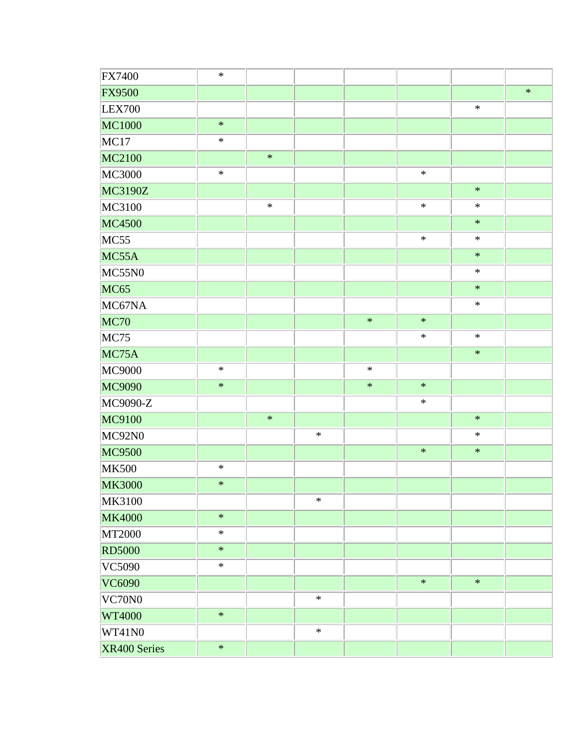| <b>FX7400</b> | $\ast$ |        |        |        |        |        |        |
|---------------|--------|--------|--------|--------|--------|--------|--------|
| <b>FX9500</b> |        |        |        |        |        |        | $\ast$ |
| LEX700        |        |        |        |        |        | $\ast$ |        |
| MC1000        | $\ast$ |        |        |        |        |        |        |
| MC17          | $\ast$ |        |        |        |        |        |        |
| MC2100        |        | $\ast$ |        |        |        |        |        |
| MC3000        | $\ast$ |        |        |        | $\ast$ |        |        |
| MC3190Z       |        |        |        |        |        | $\ast$ |        |
| MC3100        |        | $\ast$ |        |        | $\ast$ | $\ast$ |        |
| <b>MC4500</b> |        |        |        |        |        | $\ast$ |        |
| MC55          |        |        |        |        | $\ast$ | $\ast$ |        |
| MC55A         |        |        |        |        |        | $\ast$ |        |
| MC55N0        |        |        |        |        |        | $\ast$ |        |
| <b>MC65</b>   |        |        |        |        |        | $\ast$ |        |
| MC67NA        |        |        |        |        |        | $\ast$ |        |
| <b>MC70</b>   |        |        |        | $\ast$ | $\ast$ |        |        |
| MC75          |        |        |        |        | $\ast$ | $\ast$ |        |
| MC75A         |        |        |        |        |        | $\ast$ |        |
| MC9000        | $\ast$ |        |        | $\ast$ |        |        |        |
| MC9090        | $\ast$ |        |        | $\ast$ | $\ast$ |        |        |
| MC9090-Z      |        |        |        |        | $\ast$ |        |        |
| MC9100        |        | $\ast$ |        |        |        | $\ast$ |        |
| MC92N0        |        |        | $\ast$ |        |        | $\ast$ |        |
| MC9500        |        |        |        |        | $\ast$ | $\ast$ |        |
| <b>MK500</b>  | $\ast$ |        |        |        |        |        |        |
| <b>MK3000</b> | $\ast$ |        |        |        |        |        |        |
| MK3100        |        |        | $\ast$ |        |        |        |        |
| <b>MK4000</b> | $\ast$ |        |        |        |        |        |        |
| <b>MT2000</b> | $\ast$ |        |        |        |        |        |        |
| <b>RD5000</b> | $\ast$ |        |        |        |        |        |        |
| VC5090        | $\ast$ |        |        |        |        |        |        |
| VC6090        |        |        |        |        | $\ast$ | $\ast$ |        |
| VC70N0        |        |        | $\ast$ |        |        |        |        |
| <b>WT4000</b> | $\ast$ |        |        |        |        |        |        |
| WT41N0        |        |        | $\ast$ |        |        |        |        |
| XR400 Series  | $\ast$ |        |        |        |        |        |        |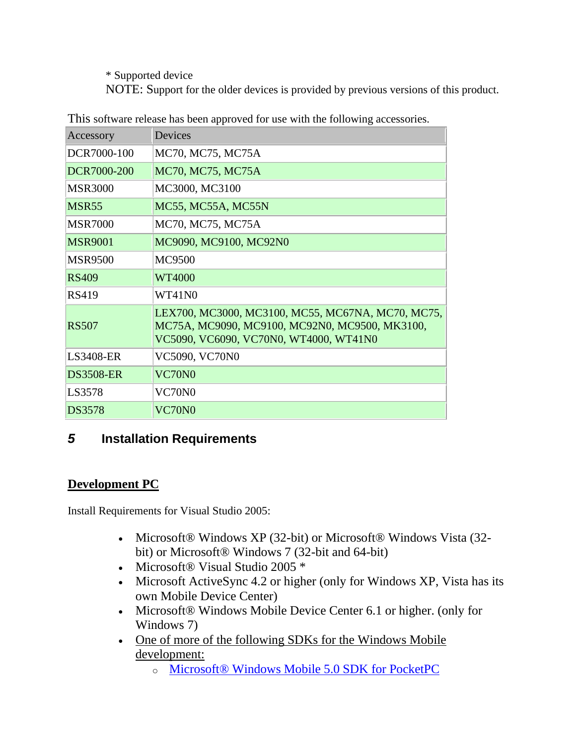\* Supported device

NOTE: Support for the older devices is provided by previous versions of this product.

| Accessory        | Devices                                                                                                                                       |
|------------------|-----------------------------------------------------------------------------------------------------------------------------------------------|
| DCR7000-100      | MC70, MC75, MC75A                                                                                                                             |
| DCR7000-200      | MC70, MC75, MC75A                                                                                                                             |
| <b>MSR3000</b>   | MC3000, MC3100                                                                                                                                |
| <b>MSR55</b>     | MC55, MC55A, MC55N                                                                                                                            |
| <b>MSR7000</b>   | MC70, MC75, MC75A                                                                                                                             |
| <b>MSR9001</b>   | MC9090, MC9100, MC92N0                                                                                                                        |
| <b>MSR9500</b>   | MC9500                                                                                                                                        |
| RS409            | WT4000                                                                                                                                        |
| <b>RS419</b>     | WT41N0                                                                                                                                        |
| <b>RS507</b>     | LEX700, MC3000, MC3100, MC55, MC67NA, MC70, MC75,<br>MC75A, MC9090, MC9100, MC92N0, MC9500, MK3100,<br>VC5090, VC6090, VC70N0, WT4000, WT41N0 |
| <b>LS3408-ER</b> | <b>VC5090, VC70N0</b>                                                                                                                         |
| <b>DS3508-ER</b> | <b>VC70N0</b>                                                                                                                                 |
| LS3578           | VC70N0                                                                                                                                        |
| <b>DS3578</b>    | VC70N0                                                                                                                                        |

This software release has been approved for use with the following accessories.

# *5* **Installation Requirements**

## **Development PC**

Install Requirements for Visual Studio 2005:

- Microsoft® Windows XP (32-bit) or Microsoft® Windows Vista (32bit) or Microsoft® Windows 7 (32-bit and 64-bit)
- Microsoft® Visual Studio 2005 \*
- Microsoft ActiveSync 4.2 or higher (only for Windows XP, Vista has its own Mobile Device Center)
- Microsoft® Windows Mobile Device Center 6.1 or higher. (only for Windows 7)
- One of more of the following SDKs for the Windows Mobile [development:](http://www.microsoft.com/downloads/details.aspx?FamilyID=83A52AF2-F524-4EC5-9155-717CBE5D25ED&displaylang=en)
	- o [Microsoft® Windows Mobile 5.0 SDK for PocketPC](http://www.microsoft.com/downloads/details.aspx?FamilyID=83A52AF2-F524-4EC5-9155-717CBE5D25ED&displaylang=en)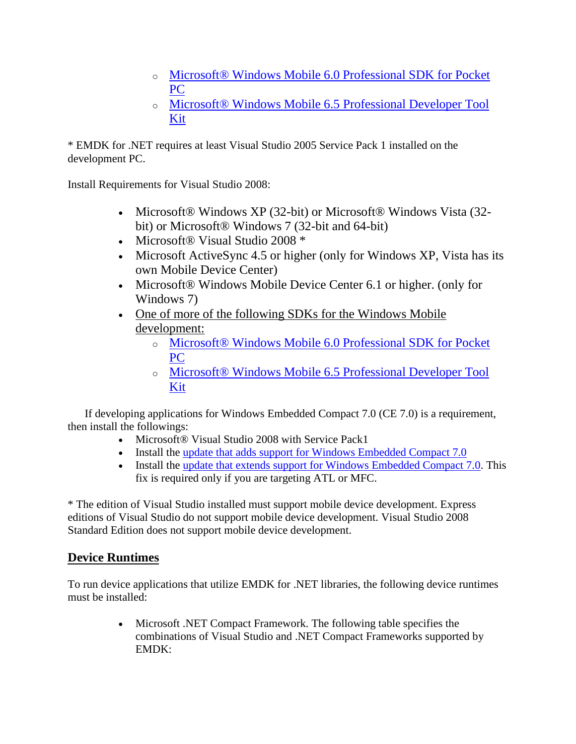- o [Microsoft® Windows Mobile 6.0 Professional SDK for Pocket](http://www.microsoft.com/downloads/details.aspx?familyid=06111A3A-A651-4745-88EF-3D48091A390B&displaylang=en)  [PC](http://www.microsoft.com/downloads/details.aspx?familyid=06111A3A-A651-4745-88EF-3D48091A390B&displaylang=en)
- o [Microsoft® Windows Mobile 6.5](http://www.microsoft.com/downloads/details.aspx?FamilyID=20686a1d-97a8-4f80-bc6a-ae010e085a6e&displaylang=en) Professional Developer Tool [Kit](http://www.microsoft.com/downloads/details.aspx?FamilyID=20686a1d-97a8-4f80-bc6a-ae010e085a6e&displaylang=en)

\* EMDK for .NET requires at least Visual Studio 2005 Service Pack 1 installed on the development PC.

Install Requirements for Visual Studio 2008:

- Microsoft® Windows XP (32-bit) or Microsoft® Windows Vista (32bit) or Microsoft® Windows 7 (32-bit and 64-bit)
- Microsoft® Visual Studio 2008 \*
- Microsoft ActiveSync 4.5 or higher (only for Windows XP, Vista has its own Mobile Device Center)
- Microsoft® Windows Mobile Device Center 6.1 or higher. (only for Windows 7)
- One of more of the following SDKs for the Windows Mobile [development:](http://www.microsoft.com/downloads/details.aspx?FamilyID=83A52AF2-F524-4EC5-9155-717CBE5D25ED&displaylang=en)
	- o [Microsoft® Windows Mobile 6.0 Professional SDK for Pocket](http://www.microsoft.com/downloads/details.aspx?familyid=06111A3A-A651-4745-88EF-3D48091A390B&displaylang=en)  [PC](http://www.microsoft.com/downloads/details.aspx?familyid=06111A3A-A651-4745-88EF-3D48091A390B&displaylang=en)
	- o [Microsoft® Windows Mobile 6.5 Professional Developer Tool](http://www.microsoft.com/downloads/details.aspx?FamilyID=20686a1d-97a8-4f80-bc6a-ae010e085a6e&displaylang=en)  [Kit](http://www.microsoft.com/downloads/details.aspx?FamilyID=20686a1d-97a8-4f80-bc6a-ae010e085a6e&displaylang=en)

 If developing applications for Windows Embedded Compact 7.0 (CE 7.0) is a requirement, then install the followings:

- Microsoft<sup>®</sup> Visual Studio 2008 with Service Pack1
- Install the [update that adds support for Windows Embedded Compact 7.0](http://support.microsoft.com/kb/2483802)
- Install the [update that extends support for Windows Embedded Compact 7.0.](http://support.microsoft.com/kb/2468183) This fix is required only if you are targeting ATL or MFC.

\* The edition of Visual Studio installed must support mobile device development. Express editions of Visual Studio do not support mobile device development. Visual Studio 2008 Standard Edition does not support mobile device development.

### **Device Runtimes**

To run device applications that utilize EMDK for .NET libraries, the following device runtimes must be installed:

> Microsoft .NET Compact Framework. The following table specifies the combinations of Visual Studio and .NET Compact Frameworks supported by EMDK: